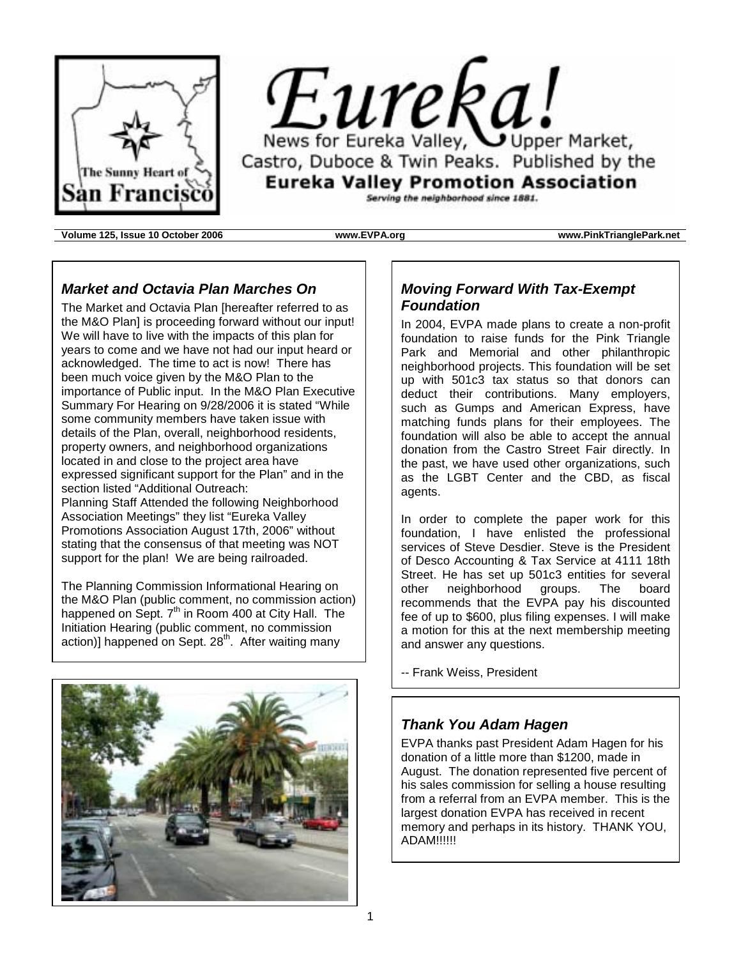



Serving the neighborhood since 1881.

**Volume 125, Issue 10 October 2006 www.EVPA.org www.PinkTrianglePark.net**

## *Market and Octavia Plan Marches On*

The Market and Octavia Plan [hereafter referred to as the M&O Plan] is proceeding forward without our input! We will have to live with the impacts of this plan for years to come and we have not had our input heard or acknowledged. The time to act is now! There has been much voice given by the M&O Plan to the importance of Public input. In the M&O Plan Executive Summary For Hearing on 9/28/2006 it is stated "While some community members have taken issue with details of the Plan, overall, neighborhood residents, property owners, and neighborhood organizations located in and close to the project area have expressed significant support for the Plan" and in the section listed "Additional Outreach: Planning Staff Attended the following Neighborhood Association Meetings" they list "Eureka Valley Promotions Association August 17th, 2006" without stating that the consensus of that meeting was NOT support for the plan! We are being railroaded.

The Planning Commission Informational Hearing on the M&O Plan (public comment, no commission action) happened on Sept. 7<sup>th</sup> in Room 400 at City Hall. The Initiation Hearing (public comment, no commission action)] happened on Sept. 28<sup>th</sup>. After waiting many



## *Moving Forward With Tax-Exempt Foundation*

In 2004, EVPA made plans to create a non-profit foundation to raise funds for the Pink Triangle Park and Memorial and other philanthropic neighborhood projects. This foundation will be set up with 501c3 tax status so that donors can deduct their contributions. Many employers, such as Gumps and American Express, have matching funds plans for their employees. The foundation will also be able to accept the annual donation from the Castro Street Fair directly. In the past, we have used other organizations, such as the LGBT Center and the CBD, as fiscal agents.

In order to complete the paper work for this foundation, I have enlisted the professional services of Steve Desdier. Steve is the President of Desco Accounting & Tax Service at 4111 18th Street. He has set up 501c3 entities for several other neighborhood groups. The board recommends that the EVPA pay his discounted fee of up to \$600, plus filing expenses. I will make a motion for this at the next membership meeting and answer any questions.

-- Frank Weiss, President

## *Thank You Adam Hagen*

EVPA thanks past President Adam Hagen for his donation of a little more than \$1200, made in August. The donation represented five percent of his sales commission for selling a house resulting from a referral from an EVPA member. This is the largest donation EVPA has received in recent memory and perhaps in its history. THANK YOU, ADAM!!!!!!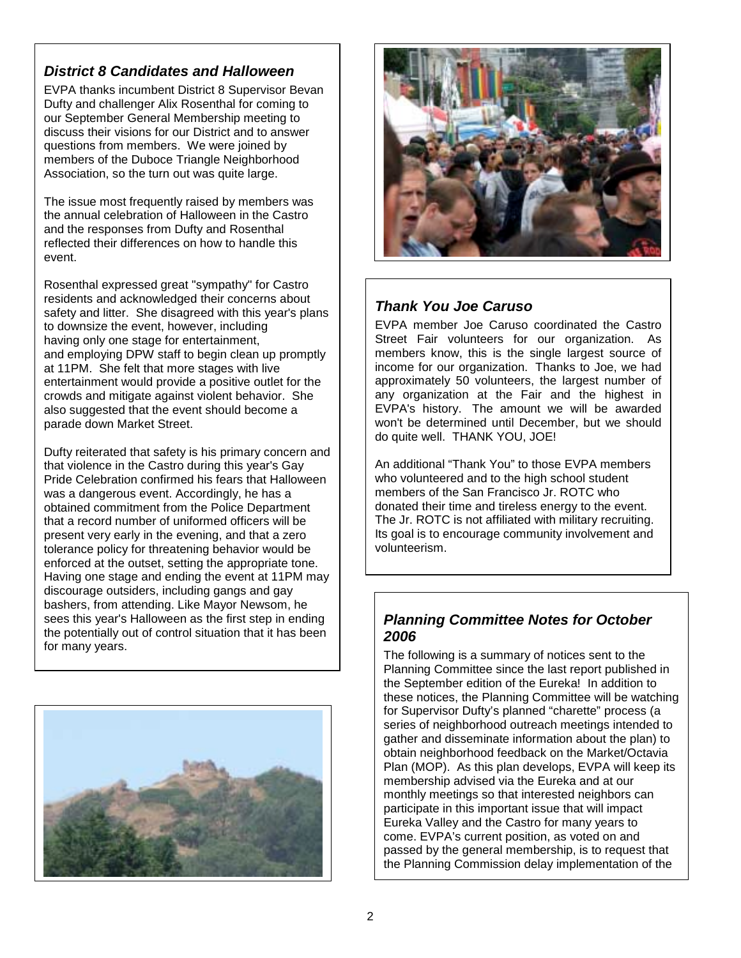## *District 8 Candidates and Halloween*

EVPA thanks incumbent District 8 Supervisor Bevan Dufty and challenger Alix Rosenthal for coming to our September General Membership meeting to discuss their visions for our District and to answer questions from members. We were joined by members of the Duboce Triangle Neighborhood Association, so the turn out was quite large.

The issue most frequently raised by members was the annual celebration of Halloween in the Castro and the responses from Dufty and Rosenthal reflected their differences on how to handle this event.

Rosenthal expressed great "sympathy" for Castro residents and acknowledged their concerns about safety and litter. She disagreed with this year's plans to downsize the event, however, including having only one stage for entertainment, and employing DPW staff to begin clean up promptly at 11PM. She felt that more stages with live entertainment would provide a positive outlet for the crowds and mitigate against violent behavior. She also suggested that the event should become a parade down Market Street.

Dufty reiterated that safety is his primary concern and that violence in the Castro during this year's Gay Pride Celebration confirmed his fears that Halloween was a dangerous event. Accordingly, he has a obtained commitment from the Police Department that a record number of uniformed officers will be present very early in the evening, and that a zero tolerance policy for threatening behavior would be enforced at the outset, setting the appropriate tone. Having one stage and ending the event at 11PM may discourage outsiders, including gangs and gay bashers, from attending. Like Mayor Newsom, he sees this year's Halloween as the first step in ending the potentially out of control situation that it has been for many years.





## *Thank You Joe Caruso*

EVPA member Joe Caruso coordinated the Castro Street Fair volunteers for our organization. As members know, this is the single largest source of income for our organization. Thanks to Joe, we had approximately 50 volunteers, the largest number of any organization at the Fair and the highest in EVPA's history. The amount we will be awarded won't be determined until December, but we should do quite well. THANK YOU, JOE!

An additional "Thank You" to those EVPA members who volunteered and to the high school student members of the San Francisco Jr. ROTC who donated their time and tireless energy to the event. The Jr. ROTC is not affiliated with military recruiting. Its goal is to encourage community involvement and volunteerism.

## *Planning Committee Notes for October 2006*

The following is a summary of notices sent to the Planning Committee since the last report published in the September edition of the Eureka! In addition to these notices, the Planning Committee will be watching for Supervisor Dufty's planned "charette" process (a series of neighborhood outreach meetings intended to gather and disseminate information about the plan) to obtain neighborhood feedback on the Market/Octavia Plan (MOP). As this plan develops, EVPA will keep its membership advised via the Eureka and at our monthly meetings so that interested neighbors can participate in this important issue that will impact Eureka Valley and the Castro for many years to come. EVPA's current position, as voted on and passed by the general membership, is to request that the Planning Commission delay implementation of the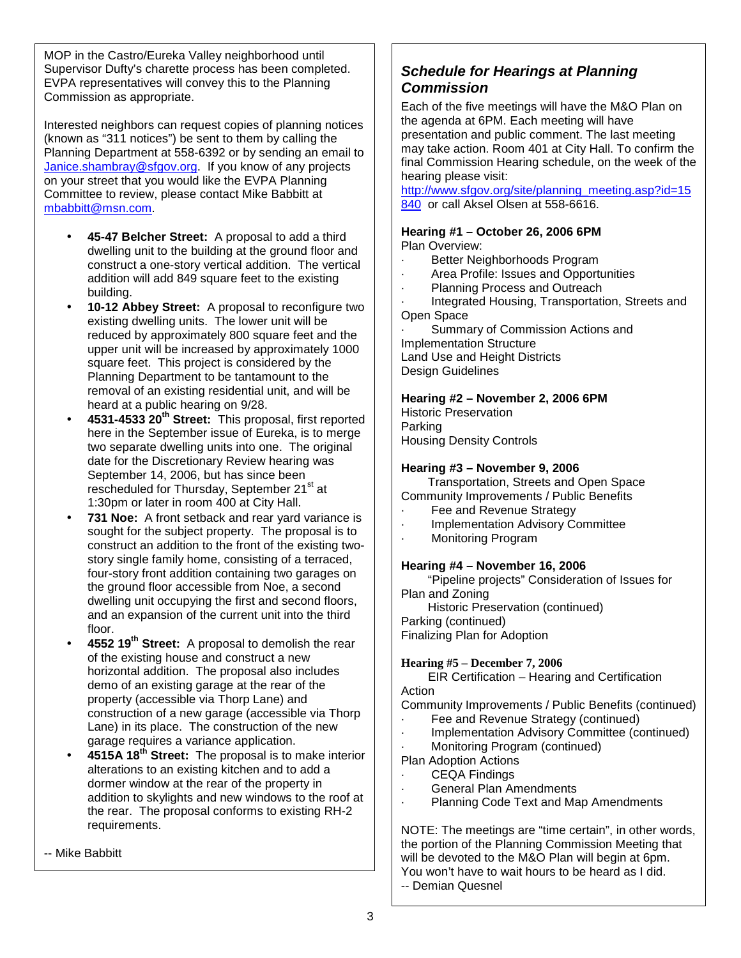MOP in the Castro/Eureka Valley neighborhood until Supervisor Dufty's charette process has been completed. EVPA representatives will convey this to the Planning Commission as appropriate.

Interested neighbors can request copies of planning notices (known as "311 notices") be sent to them by calling the Planning Department at 558-6392 or by sending an email to Janice.shambray@sfgov.org. If you know of any projects on your street that you would like the EVPA Planning Committee to review, please contact Mike Babbitt at mbabbitt@msn.com.

- **45-47 Belcher Street:** A proposal to add a third dwelling unit to the building at the ground floor and construct a one-story vertical addition. The vertical addition will add 849 square feet to the existing building.
- **10-12 Abbey Street:** A proposal to reconfigure two existing dwelling units. The lower unit will be reduced by approximately 800 square feet and the upper unit will be increased by approximately 1000 square feet. This project is considered by the Planning Department to be tantamount to the removal of an existing residential unit, and will be heard at a public hearing on 9/28.
- **4531-4533 20th Street:** This proposal, first reported here in the September issue of Eureka, is to merge two separate dwelling units into one. The original date for the Discretionary Review hearing was September 14, 2006, but has since been rescheduled for Thursday, September 21<sup>st</sup> at 1:30pm or later in room 400 at City Hall.
- 731 Noe: A front setback and rear yard variance is sought for the subject property. The proposal is to construct an addition to the front of the existing twostory single family home, consisting of a terraced, four-story front addition containing two garages on the ground floor accessible from Noe, a second dwelling unit occupying the first and second floors, and an expansion of the current unit into the third floor.
- **4552 19th Street:** A proposal to demolish the rear of the existing house and construct a new horizontal addition. The proposal also includes demo of an existing garage at the rear of the property (accessible via Thorp Lane) and construction of a new garage (accessible via Thorp Lane) in its place. The construction of the new garage requires a variance application.
- **4515A 18th Street:** The proposal is to make interior alterations to an existing kitchen and to add a dormer window at the rear of the property in addition to skylights and new windows to the roof at the rear. The proposal conforms to existing RH-2 requirements.
- -- Mike Babbitt

# *Schedule for Hearings at Planning Commission*

Each of the five meetings will have the M&O Plan on the agenda at 6PM. Each meeting will have presentation and public comment. The last meeting may take action. Room 401 at City Hall. To confirm the final Commission Hearing schedule, on the week of the hearing please visit:

http://www.sfgov.org/site/planning\_meeting.asp?id=15 840 or call Aksel Olsen at 558-6616.

#### **Hearing #1 – October 26, 2006 6PM** Plan Overview:

- Better Neighborhoods Program
- Area Profile: Issues and Opportunities
- Planning Process and Outreach
- Integrated Housing, Transportation, Streets and Open Space

Summary of Commission Actions and Implementation Structure Land Use and Height Districts Design Guidelines

#### **Hearing #2 – November 2, 2006 6PM**

Historic Preservation Parking Housing Density Controls

## **Hearing #3 – November 9, 2006**

 Transportation, Streets and Open Space Community Improvements / Public Benefits

- Fee and Revenue Strategy
- · Implementation Advisory Committee
- Monitoring Program

#### **Hearing #4 – November 16, 2006**

 "Pipeline projects" Consideration of Issues for Plan and Zoning

Historic Preservation (continued)

Parking (continued)

Finalizing Plan for Adoption

#### **Hearing #5 – December 7, 2006**

 EIR Certification – Hearing and Certification Action

Community Improvements / Public Benefits (continued)

- Fee and Revenue Strategy (continued)
- · Implementation Advisory Committee (continued)
- · Monitoring Program (continued)
- Plan Adoption Actions
- CEQA Findings
- General Plan Amendments
- Planning Code Text and Map Amendments

NOTE: The meetings are "time certain", in other words, the portion of the Planning Commission Meeting that will be devoted to the M&O Plan will begin at 6pm. You won't have to wait hours to be heard as I did.

-- Demian Quesnel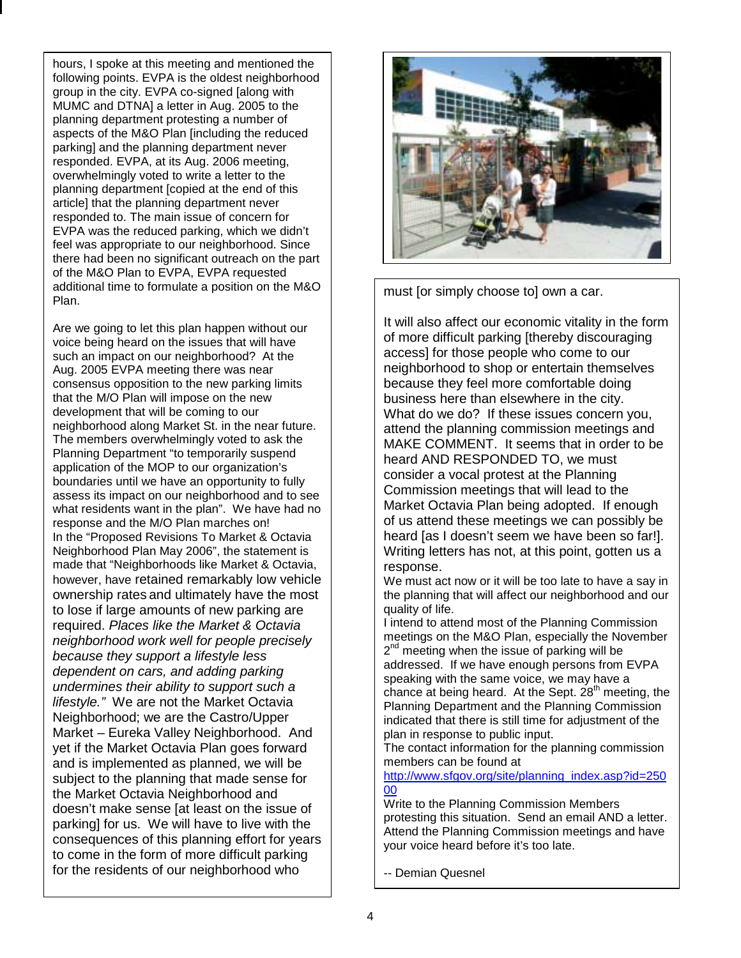hours, I spoke at this meeting and mentioned the following points. EVPA is the oldest neighborhood group in the city. EVPA co-signed [along with MUMC and DTNA] a letter in Aug. 2005 to the planning department protesting a number of aspects of the M&O Plan [including the reduced parking] and the planning department never responded. EVPA, at its Aug. 2006 meeting, overwhelmingly voted to write a letter to the planning department [copied at the end of this article] that the planning department never responded to. The main issue of concern for EVPA was the reduced parking, which we didn't feel was appropriate to our neighborhood. Since there had been no significant outreach on the part of the M&O Plan to EVPA, EVPA requested additional time to formulate a position on the M&O Plan.

Are we going to let this plan happen without our voice being heard on the issues that will have such an impact on our neighborhood? At the Aug. 2005 EVPA meeting there was near consensus opposition to the new parking limits that the M/O Plan will impose on the new development that will be coming to our neighborhood along Market St. in the near future. The members overwhelmingly voted to ask the Planning Department "to temporarily suspend application of the MOP to our organization's boundaries until we have an opportunity to fully assess its impact on our neighborhood and to see what residents want in the plan". We have had no response and the M/O Plan marches on! In the "Proposed Revisions To Market & Octavia Neighborhood Plan May 2006", the statement is made that "Neighborhoods like Market & Octavia, however, have retained remarkably low vehicle ownership rates and ultimately have the most to lose if large amounts of new parking are required. *Places like the Market & Octavia neighborhood work well for people precisely because they support a lifestyle less dependent on cars, and adding parking undermines their ability to support such a lifestyle."* We are not the Market Octavia Neighborhood; we are the Castro/Upper Market – Eureka Valley Neighborhood. And yet if the Market Octavia Plan goes forward and is implemented as planned, we will be subject to the planning that made sense for the Market Octavia Neighborhood and doesn't make sense [at least on the issue of parking] for us. We will have to live with the consequences of this planning effort for years to come in the form of more difficult parking for the residents of our neighborhood who



must [or simply choose to] own a car.

It will also affect our economic vitality in the form of more difficult parking [thereby discouraging access] for those people who come to our neighborhood to shop or entertain themselves because they feel more comfortable doing business here than elsewhere in the city. What do we do? If these issues concern you, attend the planning commission meetings and MAKE COMMENT. It seems that in order to be heard AND RESPONDED TO, we must consider a vocal protest at the Planning Commission meetings that will lead to the Market Octavia Plan being adopted. If enough of us attend these meetings we can possibly be heard [as I doesn't seem we have been so far!]. Writing letters has not, at this point, gotten us a response.

We must act now or it will be too late to have a say in the planning that will affect our neighborhood and our quality of life.

I intend to attend most of the Planning Commission meetings on the M&O Plan, especially the November  $2<sup>nd</sup>$  meeting when the issue of parking will be addressed. If we have enough persons from EVPA speaking with the same voice, we may have a chance at being heard. At the Sept.  $28<sup>th</sup>$  meeting, the Planning Department and the Planning Commission indicated that there is still time for adjustment of the plan in response to public input.

The contact information for the planning commission members can be found at

http://www.sfgov.org/site/planning\_index.asp?id=250 00

Write to the Planning Commission Members protesting this situation. Send an email AND a letter. Attend the Planning Commission meetings and have your voice heard before it's too late.

-- Demian Quesnel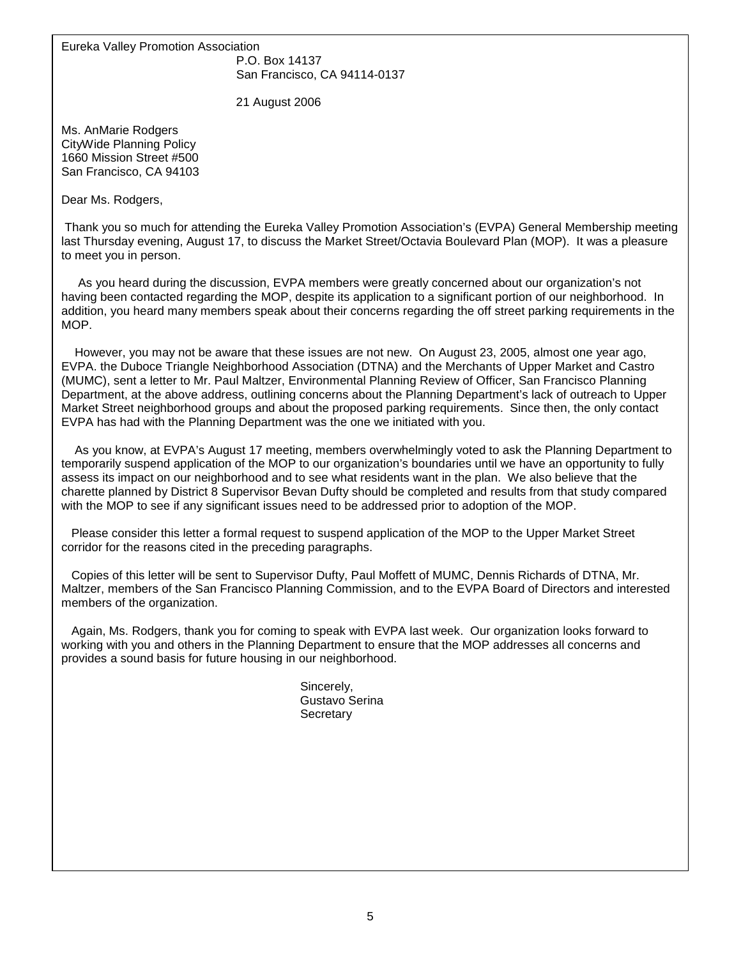Eureka Valley Promotion Association

 P.O. Box 14137 San Francisco, CA 94114-0137

21 August 2006

Ms. AnMarie Rodgers CityWide Planning Policy 1660 Mission Street #500 San Francisco, CA 94103

Dear Ms. Rodgers,

 Thank you so much for attending the Eureka Valley Promotion Association's (EVPA) General Membership meeting last Thursday evening, August 17, to discuss the Market Street/Octavia Boulevard Plan (MOP). It was a pleasure to meet you in person.

 As you heard during the discussion, EVPA members were greatly concerned about our organization's not having been contacted regarding the MOP, despite its application to a significant portion of our neighborhood. In addition, you heard many members speak about their concerns regarding the off street parking requirements in the MOP.

 However, you may not be aware that these issues are not new. On August 23, 2005, almost one year ago, EVPA. the Duboce Triangle Neighborhood Association (DTNA) and the Merchants of Upper Market and Castro (MUMC), sent a letter to Mr. Paul Maltzer, Environmental Planning Review of Officer, San Francisco Planning Department, at the above address, outlining concerns about the Planning Department's lack of outreach to Upper Market Street neighborhood groups and about the proposed parking requirements. Since then, the only contact EVPA has had with the Planning Department was the one we initiated with you.

 As you know, at EVPA's August 17 meeting, members overwhelmingly voted to ask the Planning Department to temporarily suspend application of the MOP to our organization's boundaries until we have an opportunity to fully assess its impact on our neighborhood and to see what residents want in the plan. We also believe that the charette planned by District 8 Supervisor Bevan Dufty should be completed and results from that study compared with the MOP to see if any significant issues need to be addressed prior to adoption of the MOP.

 Please consider this letter a formal request to suspend application of the MOP to the Upper Market Street corridor for the reasons cited in the preceding paragraphs.

 Copies of this letter will be sent to Supervisor Dufty, Paul Moffett of MUMC, Dennis Richards of DTNA, Mr. Maltzer, members of the San Francisco Planning Commission, and to the EVPA Board of Directors and interested members of the organization.

 Again, Ms. Rodgers, thank you for coming to speak with EVPA last week. Our organization looks forward to working with you and others in the Planning Department to ensure that the MOP addresses all concerns and provides a sound basis for future housing in our neighborhood.

> Sincerely, Gustavo Serina **Secretary**